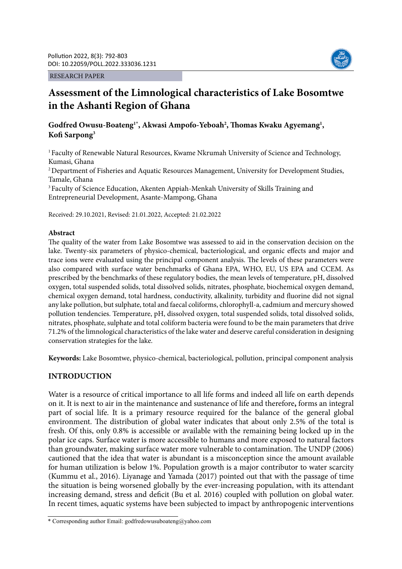RESEARCH PAPER



# **Assessment of the Limnological characteristics of Lake Bosomtwe in the Ashanti Region of Ghana**

## Godfred Owusu-Boateng<sup>1\*</sup>, Akwasi Ampofo-Yeboah<sup>2</sup>, Thomas Kwaku Agyemang<sup>1</sup>, **Kofi Sarpong3**

<sup>1</sup> Faculty of Renewable Natural Resources, Kwame Nkrumah University of Science and Technology, Kumasi, Ghana

<sup>2</sup> Department of Fisheries and Aquatic Resources Management, University for Development Studies, Tamale, Ghana

<sup>3</sup> Faculty of Science Education, Akenten Appiah-Menkah University of Skills Training and Entrepreneurial Development, Asante-Mampong, Ghana

Received: 29.10.2021, Revised: 21.01.2022, Accepted: 21.02.2022

#### **Abstract**

The quality of the water from Lake Bosomtwe was assessed to aid in the conservation decision on the lake. Twenty-six parameters of physico-chemical, bacteriological, and organic effects and major and trace ions were evaluated using the principal component analysis. The levels of these parameters were also compared with surface water benchmarks of Ghana EPA, WHO, EU, US EPA and CCEM. As prescribed by the benchmarks of these regulatory bodies, the mean levels of temperature, pH, dissolved oxygen, total suspended solids, total dissolved solids, nitrates, phosphate, biochemical oxygen demand, chemical oxygen demand, total hardness, conductivity, alkalinity, turbidity and fluorine did not signal any lake pollution, but sulphate, total and faecal coliforms, chlorophyll-a, cadmium and mercury showed pollution tendencies. Temperature, pH, dissolved oxygen, total suspended solids, total dissolved solids, nitrates, phosphate, sulphate and total coliform bacteria were found to be the main parameters that drive 71.2% of the limnological characteristics of the lake water and deserve careful consideration in designing conservation strategies for the lake.

**Keywords:** Lake Bosomtwe, physico-chemical, bacteriological, pollution, principal component analysis

### **INTRODUCTION**

Water is a resource of critical importance to all life forms and indeed all life on earth depends on it. It is next to air in the maintenance and sustenance of life and therefore**,** forms an integral part of social life. It is a primary resource required for the balance of the general global environment. The distribution of global water indicates that about only 2.5% of the total is fresh. Of this, only 0.8% is accessible or available with the remaining being locked up in the polar ice caps. Surface water is more accessible to humans and more exposed to natural factors than groundwater, making surface water more vulnerable to contamination. The UNDP (2006) cautioned that the idea that water is abundant is a misconception since the amount available for human utilization is below 1%. Population growth is a major contributor to water scarcity (Kummu et al., 2016). Liyanage and Yamada (2017) pointed out that with the passage of time the situation is being worsened globally by the ever-increasing population, with its attendant increasing demand, stress and deficit (Bu et al. 2016) coupled with pollution on global water. In recent times, aquatic systems have been subjected to impact by anthropogenic interventions

<sup>\*</sup> Corresponding author Email: godfredowusuboateng@yahoo.com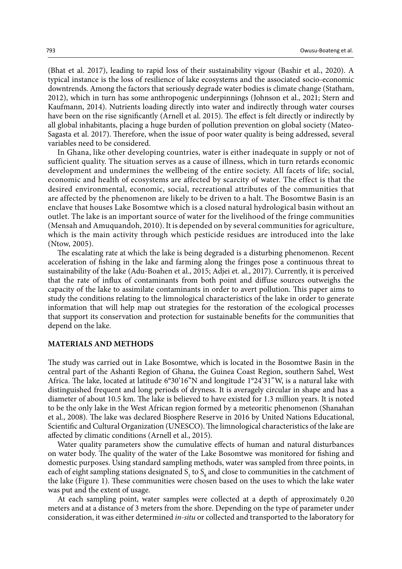(Bhat et al. 2017), leading to rapid loss of their sustainability vigour (Bashir et al., 2020). A typical instance is the loss of resilience of lake ecosystems and the associated socio-economic downtrends. Among the factors that seriously degrade water bodies is climate change (Statham, 2012), which in turn has some anthropogenic underpinnings (Johnson et al., 2021; Stern and Kaufmann, 2014). Nutrients loading directly into water and indirectly through water courses have been on the rise significantly (Arnell et al. 2015). The effect is felt directly or indirectly by all global inhabitants, placing a huge burden of pollution prevention on global society (Mateo-Sagasta et al. 2017). Therefore, when the issue of poor water quality is being addressed, several variables need to be considered.

In Ghana, like other developing countries, water is either inadequate in supply or not of sufficient quality. The situation serves as a cause of illness, which in turn retards economic development and undermines the wellbeing of the entire society. All facets of life; social, economic and health of ecosystems are affected by scarcity of water. The effect is that the desired environmental, economic, social, recreational attributes of the communities that are affected by the phenomenon are likely to be driven to a halt. The Bosomtwe Basin is an enclave that houses Lake Bosomtwe which is a closed natural hydrological basin without an outlet. The lake is an important source of water for the livelihood of the fringe communities (Mensah and Amuquandoh, 2010). It is depended on by several communities for agriculture, which is the main activity through which pesticide residues are introduced into the lake (Ntow, 2005).

The escalating rate at which the lake is being degraded is a disturbing phenomenon. Recent acceleration of fishing in the lake and farming along the fringes pose a continuous threat to sustainability of the lake (Adu-Boahen et al., 2015; Adjei et. al., 2017). Currently, it is perceived that the rate of influx of contaminants from both point and diffuse sources outweighs the capacity of the lake to assimilate contaminants in order to avert pollution. This paper aims to study the conditions relating to the limnological characteristics of the lake in order to generate information that will help map out strategies for the restoration of the ecological processes that support its conservation and protection for sustainable benefits for the communities that depend on the lake.

#### **MATERIALS AND METHODS**

The study was carried out in Lake Bosomtwe, which is located in the Bosomtwe Basin in the central part of the Ashanti Region of Ghana, the Guinea Coast Region, southern Sahel, West Africa. The lake, located at latitude 6°30'16''N and longitude 1°24'31''W, is a natural lake with distinguished frequent and long periods of dryness. It is averagely circular in shape and has a diameter of about 10.5 km. The lake is believed to have existed for 1.3 million years. It is noted to be the only lake in the West African region formed by a meteoritic phenomenon (Shanahan et al., 2008). The lake was declared Biosphere Reserve in 2016 by United Nations Educational, Scientific and Cultural Organization (UNESCO). The limnological characteristics of the lake are affected by climatic conditions (Arnell et al., 2015).

Water quality parameters show the cumulative effects of human and natural disturbances on water body. The quality of the water of the Lake Bosomtwe was monitored for fishing and domestic purposes. Using standard sampling methods, water was sampled from three points, in each of eight sampling stations designated  $S_1$  to  $S_8$  and close to communities in the catchment of the lake (Figure 1). These communities were chosen based on the uses to which the lake water was put and the extent of usage.

At each sampling point, water samples were collected at a depth of approximately 0.20 meters and at a distance of 3 meters from the shore. Depending on the type of parameter under consideration, it was either determined *in-situ* or collected and transported to the laboratory for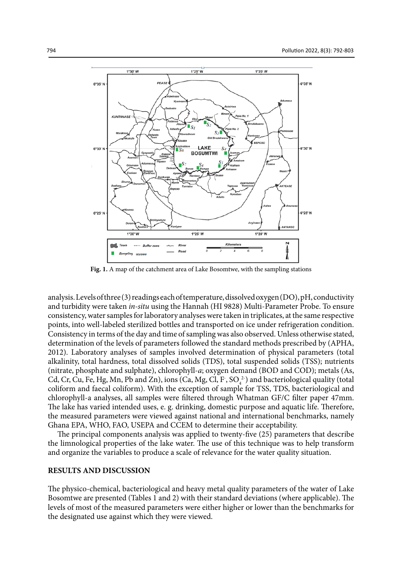

**Fig. 1.** A map of the catchment area of Lake Bosomtwe, with the sampling stations

analysis. Levels of three (3) readings each of temperature, dissolved oxygen (DO), pH, conductivity and turbidity were taken *in-situ* using the Hannah (HI 9828) Multi-Parameter Probe. To ensure consistency, water samples for laboratory analyses were taken in triplicates, at the same respective points, into well-labeled sterilized bottles and transported on ice under refrigeration condition. Consistency in terms of the day and time of sampling was also observed. Unless otherwise stated, determination of the levels of parameters followed the standard methods prescribed by (APHA, 2012). Laboratory analyses of samples involved determination of physical parameters (total alkalinity, total hardness, total dissolved solids (TDS), total suspended solids (TSS); nutrients (nitrate, phosphate and sulphate), chlorophyll-*a*; oxygen demand (BOD and COD); metals (As, Cd, Cr, Cu, Fe, Hg, Mn, Pb and Zn), ions (Ca, Mg, Cl, F,  $SO_4^{2-}$ ) and bacteriological quality (total coliform and faecal coliform). With the exception of sample for TSS, TDS, bacteriological and chlorophyll-a analyses, all samples were filtered through Whatman GF/C filter paper 47mm. The lake has varied intended uses, e. g. drinking, domestic purpose and aquatic life. Therefore, the measured parameters were viewed against national and international benchmarks, namely Ghana EPA, WHO, FAO, USEPA and CCEM to determine their acceptability.

The principal components analysis was applied to twenty-five (25) parameters that describe the limnological properties of the lake water. The use of this technique was to help transform and organize the variables to produce a scale of relevance for the water quality situation.

#### **RESULTS AND DISCUSSION**

The physico-chemical, bacteriological and heavy metal quality parameters of the water of Lake Bosomtwe are presented (Tables 1 and 2) with their standard deviations (where applicable). The levels of most of the measured parameters were either higher or lower than the benchmarks for the designated use against which they were viewed.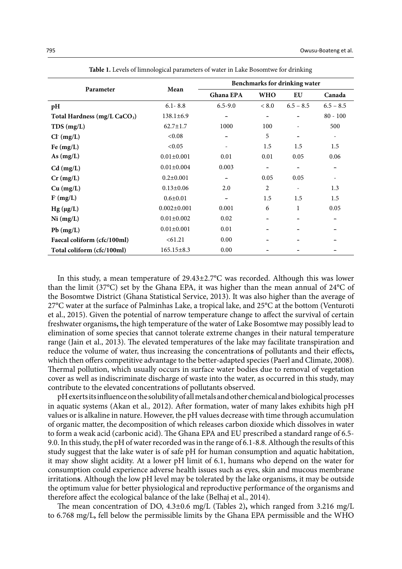|                                          | Mean              | Benchmarks for drinking water |                              |             |                              |
|------------------------------------------|-------------------|-------------------------------|------------------------------|-------------|------------------------------|
| Parameter                                |                   | Ghana EPA                     | <b>WHO</b>                   | EU          | Canada                       |
| pH                                       | $6.1 - 8.8$       | $6.5 - 9.0$                   | < 8.0                        | $6.5 - 8.5$ | $6.5 - 8.5$                  |
| Total Hardness (mg/L CaCO <sub>3</sub> ) | $138.1 \pm 6.9$   |                               |                              |             | $80 - 100$                   |
| TDS(mg/L)                                | $62.7 \pm 1.7$    | 1000                          | 100                          |             | 500                          |
| $Cl^-(mg/L)$                             | < 0.08            |                               | 5                            |             | $\qquad \qquad \blacksquare$ |
| Fe $(mg/L)$                              | < 0.05            |                               | 1.5                          | 1.5         | 1.5                          |
| As $(mg/L)$                              | $0.01 \pm 0.001$  | 0.01                          | 0.01                         | 0.05        | 0.06                         |
| $Cd$ (mg/L)                              | $0.01 \pm 0.004$  | 0.003                         | $\qquad \qquad \blacksquare$ |             | ۰                            |
| $Cr$ (mg/L)                              | $0.2 \pm 0.001$   |                               | 0.05                         | 0.05        |                              |
| Cu (mg/L)                                | $0.13 \pm 0.06$   | 2.0                           | 2                            |             | 1.3                          |
| F(mg/L)                                  | $0.6 \pm 0.01$    |                               | 1.5                          | 1.5         | 1.5                          |
| $Hg(\mu g/L)$                            | $0.002 \pm 0.001$ | 0.001                         | 6                            | 1           | 0.05                         |
| Ni (mg/L)                                | $0.01 \pm 0.002$  | 0.02                          |                              |             |                              |
| $Pb$ (mg/L)                              | $0.01 \pm 0.001$  | 0.01                          |                              |             |                              |
| Faecal coliform (cfc/100ml)              | < 61.21           | 0.00                          |                              |             |                              |
| Total coliform (cfc/100ml)               | $165.15 \pm 8.3$  | 0.00                          |                              |             |                              |

**Table 1: Levels of limnological parameters of water in Lake Bosomtwe for drinking Table 1.** Levels of limnological parameters of water in Lake Bosomtwe for drinking

In this study, a mean temperature of 29.43±2.7°C was recorded. Although this was lower than the limit (37°C) set by the Ghana EPA, it was higher than the mean annual of 24°C of the Bosomtwe District (Ghana Statistical Service, 2013). It was also higher than the average of 27°C water at the surface of Palminhas Lake, a tropical lake, and 25°C at the bottom (Venturoti et al., 2015). Given the potential of narrow temperature change to affect the survival of certain freshwater organisms**,** the high temperature of the water of Lake Bosomtwe may possibly lead to elimination of some species that cannot tolerate extreme changes in their natural temperature range (Jain et al., 2013). The elevated temperatures of the lake may facilitate transpiration and reduce the volume of water, thus increasing the concentration**s** of pollutants and their effects**,**  which then offers competitive advantage to the better-adapted species (Paerl and Climate, 2008). Thermal pollution, which usually occurs in surface water bodies due to removal of vegetation cover as well as indiscriminate discharge of waste into the water, as occurred in this study, may contribute to the elevated concentrations of pollutants observed.

pH exerts its influence on the solubility of all metals and other chemical and biological processes in aquatic systems (Akan et al*.,* 2012). After formation, water of many lakes exhibits high pH values or is alkaline in nature. However, the pH values decrease with time through accumulation of organic matter, the decomposition of which releases carbon dioxide which dissolves in water to form a weak acid (carbonic acid). The Ghana EPA and EU prescribed a standard range of 6.5- 9.0. In this study, the pH of water recorded was in the range of 6.1-8.8. Although the results of this study suggest that the lake water is of safe pH for human consumption and aquatic habitation, it may show slight acidity. At a lower pH limit of 6.1, humans who depend on the water for consumption could experience adverse health issues such as eyes, skin and mucous membrane irritation**s**. Although the low pH level may be tolerated by the lake organisms, it may be outside the optimum value for better physiological and reproductive performance of the organisms and therefore affect the ecological balance of the lake (Belhaj et al., 2014).

The mean concentration of DO, 4.3±0.6 mg/L (Tables 2)**,** which ranged from 3.216 mg/L to 6.768 mg/L**,** fell below the permissible limits by the Ghana EPA permissible and the WHO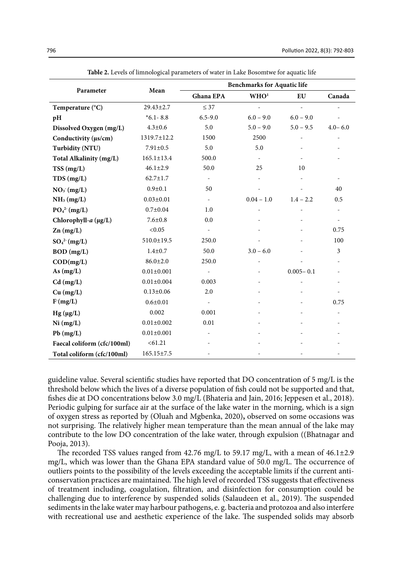|                                     | Mean             | <b>Benchmarks for Aquatic life</b> |                          |               |             |  |
|-------------------------------------|------------------|------------------------------------|--------------------------|---------------|-------------|--|
| Parameter                           |                  | <b>Ghana EPA</b>                   | WHO <sup>1</sup>         | EU            | Canada      |  |
| Temperature (°C)                    | 29.43±2.7        | $\leq$ 37                          | $\overline{a}$           | $\mathbf{r}$  |             |  |
| pH                                  | $*6.1 - 8.8$     | $6.5 - 9.0$                        | $6.0 - 9.0$              | $6.0 - 9.0$   |             |  |
| Dissolved Oxygen (mg/L)             | $4.3 \pm 0.6$    | 5.0                                | $5.0 - 9.0$              | $5.0 - 9.5$   | $4.0 - 6.0$ |  |
| Conductivity (µs/cm)                | 1319.7±12.2      | 1500                               | 2500                     |               |             |  |
| <b>Turbidity (NTU)</b>              | $7.91 \pm 0.5$   | 5.0                                | 5.0                      |               |             |  |
| Total Alkalinity (mg/L)             | $165.1 \pm 13.4$ | 500.0                              | $\overline{\phantom{a}}$ |               |             |  |
| TSS(mg/L)                           | $46.1 \pm 2.9$   | 50.0                               | 25                       | 10            |             |  |
| TDS(mg/L)                           | $62.7 \pm 1.7$   | $\overline{\phantom{a}}$           |                          |               |             |  |
| $NO_3$ (mg/L)                       | $0.9 + 0.1$      | 50                                 |                          |               | 40          |  |
| NH <sub>3</sub> (mg/L)              | $0.03 \pm 0.01$  | $\overline{\phantom{a}}$           | $0.04 - 1.0$             | $1.4 - 2.2$   | 0.5         |  |
| PO <sub>4</sub> <sup>2</sup> (mg/L) | $0.7 + 0.04$     | 1.0                                |                          |               |             |  |
| Chlorophyll- $a$ ( $\mu$ g/L)       | $7.6 + 0.8$      | 0.0                                |                          |               |             |  |
| $Zn$ (mg/L)                         | < 0.05           | $\overline{\phantom{a}}$           |                          |               | 0.75        |  |
| $SO_4^2$ (mg/L)                     | $510.0 \pm 19.5$ | 250.0                              |                          |               | 100         |  |
| $BOD$ (mg/L)                        | $1.4 + 0.7$      | 50.0                               | $3.0 - 6.0$              |               | 3           |  |
| $\text{COD}(\text{mg/L})$           | $86.0 \pm 2.0$   | 250.0                              |                          |               |             |  |
| As $(mg/L)$                         | $0.01 \pm 0.001$ | $\overline{\phantom{a}}$           |                          | $0.005 - 0.1$ |             |  |
| $Cd$ (mg/L)                         | $0.01 \pm 0.004$ | 0.003                              |                          |               |             |  |
| Cu (mg/L)                           | $0.13 \pm 0.06$  | 2.0                                |                          |               |             |  |
| F(mg/L)                             | $0.6 + 0.01$     | $\overline{\phantom{a}}$           |                          |               | 0.75        |  |
| $Hg(\mu g/L)$                       | 0.002            | 0.001                              |                          |               |             |  |
| Ni (mg/L)                           | $0.01 \pm 0.002$ | 0.01                               |                          |               |             |  |
| $Pb$ (mg/L)                         | $0.01 \pm 0.001$ |                                    |                          |               |             |  |
| Faecal coliform (cfc/100ml)         | < 61.21          |                                    |                          |               |             |  |
| Total coliform (cfc/100ml)          | $165.15 \pm 7.5$ |                                    |                          |               |             |  |

**Table 2.** Levels of limnological parameters of water in Lake Bosomtwe for aquatic life

guideline value. Several scientific studies have reported that DO concentration of 5 mg/L is the threshold below which the lives of a diverse population of fish could not be supported and that, fishes die at DO concentrations below 3.0 mg/L (Bhateria and Jain, 2016; Jeppesen et al., 2018). Periodic gulping for surface air at the surface of the lake water in the morning, which is a sign of oxygen stress as reported by (Oluah and Mgbenka, 2020)**,** observed on some occasions was not surprising. The relatively higher mean temperature than the mean annual of the lake may contribute to the low DO concentration of the lake water, through expulsion ((Bhatnagar and Pooja, 2013).

The recorded TSS values ranged from 42.76 mg/L to 59.17 mg/L, with a mean of 46.1±2.9 mg/L, which was lower than the Ghana EPA standard value of 50.0 mg/L. The occurrence of outliers points to the possibility of the levels exceeding the acceptable limits if the current anticonservation practices are maintained. The high level of recorded TSS suggests that effectiveness of treatment including, coagulation, filtration, and disinfection for consumption could be challenging due to interference by suspended solids (Salaudeen et al., 2019). The suspended sediments in the lake water may harbour pathogens, e. g. bacteria and protozoa and also interfere with recreational use and aesthetic experience of the lake. The suspended solids may absorb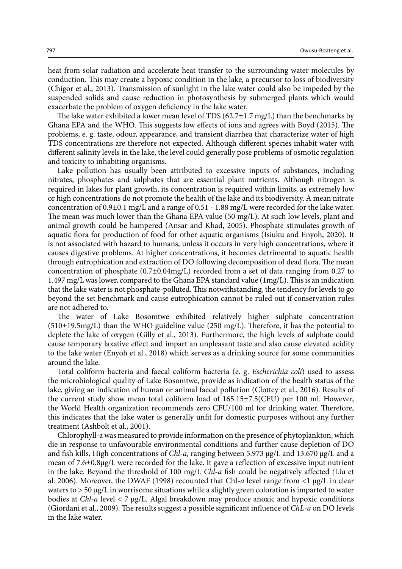heat from solar radiation and accelerate heat transfer to the surrounding water molecules by conduction. This may create a hypoxic condition in the lake, a precursor to loss of biodiversity (Chigor et al., 2013). Transmission of sunlight in the lake water could also be impeded by the suspended solids and cause reduction in photosynthesis by submerged plants which would exacerbate the problem of oxygen deficiency in the lake water.

The lake water exhibited a lower mean level of TDS  $(62.7\pm1.7 \text{ mg/L})$  than the benchmarks by Ghana EPA and the WHO. This suggests low effects of ions and agrees with Boyd (2015). The problems, e. g. taste, odour, appearance, and transient diarrhea that characterize water of high TDS concentrations are therefore not expected. Although different species inhabit water with different salinity levels in the lake, the level could generally pose problems of osmotic regulation and toxicity to inhabiting organisms.

Lake pollution has usually been attributed to excessive inputs of substances, including nitrates, phosphates and sulphates that are essential plant nutrients**.** Although nitrogen is required in lakes for plant growth, its concentration is required within limits, as extremely low or high concentrations do not promote the health of the lake and its biodiversity. A mean nitrate concentration of 0.9±0.1 mg/L and a range of 0.51 - 1.88 mg/L were recorded for the lake water. The mean was much lower than the Ghana EPA value (50 mg/L). At such low levels, plant and animal growth could be hampered (Ansar and Khad, 2005). Phosphate stimulates growth of aquatic flora for production of food for other aquatic organisms (Isiuku and Enyoh, 2020). It is not associated with hazard to humans, unless it occurs in very high concentrations, where it causes digestive problems. At higher concentrations, it becomes detrimental to aquatic health through eutrophication and extraction of DO following decomposition of dead flora. The mean concentration of phosphate  $(0.7\pm0.04\text{mg/L})$  recorded from a set of data ranging from 0.27 to 1.497 mg/L was lower, compared to the Ghana EPA standard value (1mg/L). This is an indication that the lake water is not phosphate-polluted. This notwithstanding, the tendency for levels to go beyond the set benchmark and cause eutrophication cannot be ruled out if conservation rules are not adhered to.

The water of Lake Bosomtwe exhibited relatively higher sulphate concentration  $(510\pm19.5\text{mg/L})$  than the WHO guideline value (250 mg/L). Therefore, it has the potential to deplete the lake of oxygen (Gilly et al., 2013). Furthermore, the high levels of sulphate could cause temporary laxative effect and impart an unpleasant taste and also cause elevated acidity to the lake water (Enyoh et al., 2018) which serves as a drinking source for some communities around the lake.

Total coliform bacteria and faecal coliform bacteria (e. g. *Escherichia coli*) used to assess the microbiological quality of Lake Bosomtwe, provide as indication of the health status of the lake, giving an indication of human or animal faecal pollution (Clottey et al., 2016). Results of the current study show mean total coliform load of 165.15±7.5(CFU) per 100 ml. However, the World Health organization recommends zero CFU/100 ml for drinking water. Therefore, this indicates that the lake water is generally unfit for domestic purposes without any further treatment (Ashbolt et al., 2001).

Chlorophyll-a was measured to provide information on the presence of phytoplankton, which die in response to unfavourable environmental conditions and further cause depletion of DO and fish kills. High concentrations of *Chl*-*a*, ranging between 5.973 μg/L and 13.670 μg/L and a mean of 7.6±0.8μg/L were recorded for the lake. It gave a reflection of excessive input nutrient in the lake. Beyond the threshold of 100 mg/L *Chl*-*a* fish could be negatively affected *(*Liu et al. 2006). Moreover, the DWAF (1998) recounted that Chl-*a* level range from <1 μg/L in clear waters to > 50 μg/L in worrisome situations while a slightly green coloration is imparted to water bodies at *Chl*-*a* level < 7 μg/L. Algal breakdown may produce anoxic and hypoxic conditions (Giordani et al., 2009). The results suggest a possible significant influence of *ChL*-*a* on DO levels in the lake water.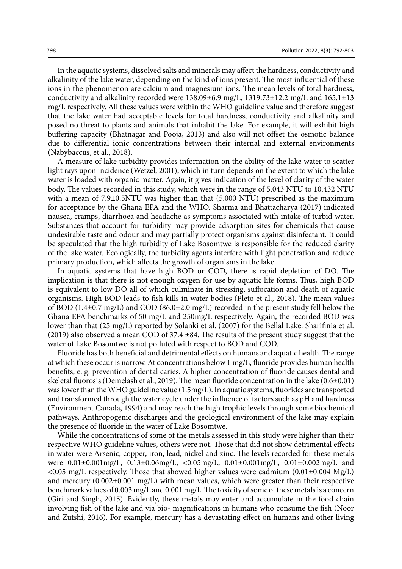In the aquatic systems, dissolved salts and minerals may affect the hardness, conductivity and alkalinity of the lake water, depending on the kind of ions present. The most influential of these ions in the phenomenon are calcium and magnesium ions. The mean levels of total hardness, conductivity and alkalinity recorded were  $138.09\pm6.9$  mg/L,  $1319.73\pm12.2$  mg/L and  $165.1\pm13$ mg/L respectively. All these values were within the WHO guideline value and therefore suggest that the lake water had acceptable levels for total hardness, conductivity and alkalinity and posed no threat to plants and animals that inhabit the lake. For example, it will exhibit high buffering capacity (Bhatnagar and Pooja, 2013) and also will not offset the osmotic balance due to differential ionic concentrations between their internal and external environments (Nabybaccus, et al., 2018).

A measure of lake turbidity provides information on the ability of the lake water to scatter light rays upon incidence (Wetzel, 2001), which in turn depends on the extent to which the lake water is loaded with organic matter. Again, it gives indication of the level of clarity of the water body. The values recorded in this study, which were in the range of 5.043 NTU to 10.432 NTU with a mean of 7.9 $\pm$ 0.5NTU was higher than that (5.000 NTU) prescribed as the maximum for acceptance by the Ghana EPA and the WHO. Sharma and Bhattacharya (2017) indicated nausea, cramps, diarrhoea and headache as symptoms associated with intake of turbid water. Substances that account for turbidity may provide adsorption sites for chemicals that cause undesirable taste and odour and may partially protect organisms against disinfectant. It could be speculated that the high turbidity of Lake Bosomtwe is responsible for the reduced clarity of the lake water. Ecologically, the turbidity agents interfere with light penetration and reduce primary production, which affects the growth of organisms in the lake.

In aquatic systems that have high BOD or COD, there is rapid depletion of DO. The implication is that there is not enough oxygen for use by aquatic life forms. Thus, high BOD is equivalent to low DO all of which culminate in stressing, suffocation and death of aquatic organisms. High BOD leads to fish kills in water bodies (Pleto et al., 2018). The mean values of BOD (1.4 $\pm$ 0.7 mg/L) and COD (86.0 $\pm$ 2.0 mg/L) recorded in the present study fell below the Ghana EPA benchmarks of 50 mg/L and 250mg/L respectively. Again, the recorded BOD was lower than that (25 mg/L) reported by Solanki et al. (2007) for the Bellal Lake. Sharifinia et al. (2019) also observed a mean COD of 37.4  $\pm$ 84. The results of the present study suggest that the water of Lake Bosomtwe is not polluted with respect to BOD and COD.

Fluoride has both beneficial and detrimental effects on humans and aquatic health. The range at which these occur is narrow. At concentrations below 1 mg/L, fluoride provides human health benefits, e. g. prevention of dental caries. A higher concentration of fluoride causes dental and skeletal fluorosis (Demelash et al., 2019). The mean fluoride concentration in the lake  $(0.6\pm0.01)$ was lower than the WHO guideline value (1.5mg/L). In aquatic systems, fluorides are transported and transformed through the water cycle under the influence of factors such as pH and hardness (Environment Canada, 1994) and may reach the high trophic levels through some biochemical pathways. Anthropogenic discharges and the geological environment of the lake may explain the presence of fluoride in the water of Lake Bosomtwe.

While the concentrations of some of the metals assessed in this study were higher than their respective WHO guideline values, others were not. Those that did not show detrimental effects in water were Arsenic, copper, iron, lead, nickel and zinc. The levels recorded for these metals were 0.01±0.001mg/L, 0.13±0.06mg/L, <0.05mg/L, 0.01±0.001mg/L, 0.01±0.002mg/L and  $\langle 0.05 \text{ mg/L} \rangle$  respectively. Those that showed higher values were cadmium  $(0.01 \pm 0.004 \text{ Mg/L})$ and mercury  $(0.002\pm0.001 \text{ mg/L})$  with mean values, which were greater than their respective benchmark values of 0.003 mg/L and 0.001 mg/L. The toxicity of some of these metals is a concern (Giri and Singh, 2015). Evidently, these metals may enter and accumulate in the food chain involving fish of the lake and via bio- magnifications in humans who consume the fish (Noor and Zutshi, 2016). For example, mercury has a devastating effect on humans and other living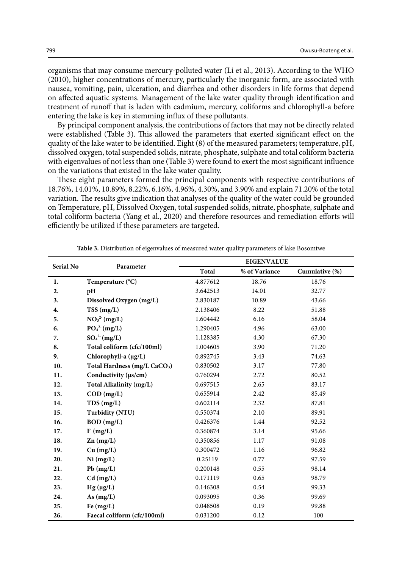organisms that may consume mercury-polluted water (Li et al., 2013). According to the WHO (2010), higher concentrations of mercury, particularly the inorganic form, are associated with nausea, vomiting, pain, ulceration, and diarrhea and other disorders in life forms that depend on affected aquatic systems. Management of the lake water quality through identification and treatment of runoff that is laden with cadmium, mercury, coliforms and chlorophyll-a before entering the lake is key in stemming influx of these pollutants.

By principal component analysis, the contributions of factors that may not be directly related were established (Table 3). This allowed the parameters that exerted significant effect on the quality of the lake water to be identified. Eight (8) of the measured parameters; temperature, pH, dissolved oxygen, total suspended solids, nitrate, phosphate, sulphate and total coliform bacteria with eigenvalues of not less than one (Table 3) were found to exert the most significant influence on the variations that existed in the lake water quality.

These eight parameters formed the principal components with respective contributions of 18.76%, 14.01%, 10.89%, 8.22%, 6.16%, 4.96%, 4.30%, and 3.90% and explain 71.20% of the total variation. The results give indication that analyses of the quality of the water could be grounded on Temperature, pH, Dissolved Oxygen, total suspended solids, nitrate, phosphate, sulphate and total coliform bacteria (Yang et al., 2020) and therefore resources and remediation efforts will efficiently be utilized if these parameters are targeted.

| Serial No | Parameter                                | <b>EIGENVALUE</b> |               |                |  |
|-----------|------------------------------------------|-------------------|---------------|----------------|--|
|           |                                          | <b>Total</b>      | % of Variance | Cumulative (%) |  |
| 1.        | Temperature (°C)                         | 4.877612          | 18.76         | 18.76          |  |
| 2.        | pH                                       | 3.642513          | 14.01         | 32.77          |  |
| 3.        | Dissolved Oxygen (mg/L)                  | 2.830187          | 10.89         | 43.66          |  |
| 4.        | TSS(mg/L)                                | 2.138406          | 8.22          | 51.88          |  |
| 5.        | NO <sub>3</sub> <sup>2</sup> (mg/L)      | 1.604442          | 6.16          | 58.04          |  |
| 6.        | PO <sub>4</sub> <sup>2</sup> (mg/L)      | 1.290405          | 4.96          | 63.00          |  |
| 7.        | $SO_4^{2-} (mg/L)$                       | 1.128385          | 4.30          | 67.30          |  |
| 8.        | Total coliform (cfc/100ml)               | 1.004605          | 3.90          | 71.20          |  |
| 9.        | Chlorophyll-a (µg/L)                     | 0.892745          | 3.43          | 74.63          |  |
| 10.       | Total Hardness (mg/L CaCO <sub>3</sub> ) | 0.830502          | 3.17          | 77.80          |  |
| 11.       | Conductivity (µs/cm)                     | 0.760294          | 2.72          | 80.52          |  |
| 12.       | Total Alkalinity (mg/L)                  | 0.697515          | 2.65          | 83.17          |  |
| 13.       | $COD$ (mg/L)                             | 0.655914          | 2.42          | 85.49          |  |
| 14.       | TDS(mg/L)                                | 0.602114          | 2.32          | 87.81          |  |
| 15.       | <b>Turbidity (NTU)</b>                   | 0.550374          | 2.10          | 89.91          |  |
| 16.       | $BOD$ (mg/L)                             | 0.426376          | 1.44          | 92.52          |  |
| 17.       | F(mg/L)                                  | 0.360874          | 3.14          | 95.66          |  |
| 18.       | $Zn$ (mg/L)                              | 0.350856          | 1.17          | 91.08          |  |
| 19.       | Cu (mg/L)                                | 0.300472          | 1.16          | 96.82          |  |
| 20.       | Ni (mg/L)                                | 0.25119           | 0.77          | 97.59          |  |
| 21.       | Pb(mg/L)                                 | 0.200148          | 0.55          | 98.14          |  |
| 22.       | $Cd$ (mg/L)                              | 0.171119          | 0.65          | 98.79          |  |
| 23.       | $Hg(\mu g/L)$                            | 0.146308          | 0.54          | 99.33          |  |
| 24.       | As $(mg/L)$                              | 0.093095          | 0.36          | 99.69          |  |
| 25.       | Fe $(mg/L)$                              | 0.048508          | 0.19          | 99.88          |  |
| 26.       | Faecal coliform (cfc/100ml)              | 0.031200          | 0.12          | 100            |  |

**Table 3: Distribution of eigenvalues of measured water quality parameters of lake Bosomtwe Table 3.** Distribution of eigenvalues of measured water quality parameters of lake Bosomtwe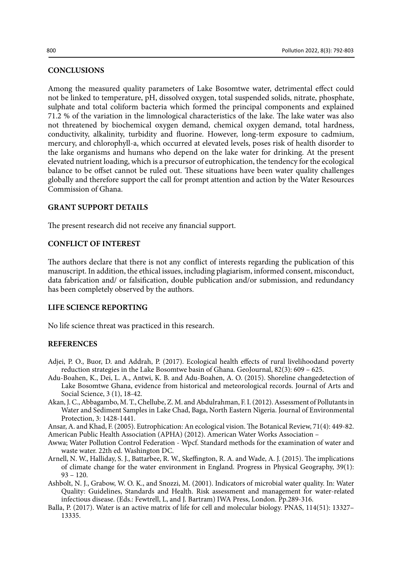#### **CONCLUSIONS**

Among the measured quality parameters of Lake Bosomtwe water, detrimental effect could not be linked to temperature, pH, dissolved oxygen, total suspended solids, nitrate, phosphate, sulphate and total coliform bacteria which formed the principal components and explained 71.2 % of the variation in the limnological characteristics of the lake. The lake water was also not threatened by biochemical oxygen demand, chemical oxygen demand, total hardness, conductivity, alkalinity, turbidity and fluorine. However, long-term exposure to cadmium, mercury, and chlorophyll-a, which occurred at elevated levels, poses risk of health disorder to the lake organisms and humans who depend on the lake water for drinking. At the present elevated nutrient loading, which is a precursor of eutrophication, the tendency for the ecological balance to be offset cannot be ruled out. These situations have been water quality challenges globally and therefore support the call for prompt attention and action by the Water Resources Commission of Ghana.

#### **GRANT SUPPORT DETAILS**

The present research did not receive any financial support.

#### **CONFLICT OF INTEREST**

The authors declare that there is not any conflict of interests regarding the publication of this manuscript. In addition, the ethical issues, including plagiarism, informed consent, misconduct, data fabrication and/ or falsification, double publication and/or submission, and redundancy has been completely observed by the authors.

#### **LIFE SCIENCE REPORTING**

No life science threat was practiced in this research.

#### **REFERENCES**

- Adjei, P. O., Buor, D. and Addrah, P. (2017). Ecological health effects of rural livelihoodand poverty reduction strategies in the Lake Bosomtwe basin of Ghana. GeoJournal, 82(3): 609 – 625.
- Adu-Boahen, K., Dei, L. A., Antwi, K. B. and Adu-Boahen, A. O. (2015). Shoreline changedetection of Lake Bosomtwe Ghana, evidence from historical and meteorological records. Journal of Arts and Social Science, 3 (1), 18-42.
- Akan, J. C., Abbagambo, M. T., Chellube, Z. M. and Abdulrahman, F. I. (2012). Assessment of Pollutants in Water and Sediment Samples in Lake Chad, Baga, North Eastern Nigeria. Journal of Environmental Protection, 3: 1428-1441.

Ansar, A. and Khad, F. (2005). Eutrophication: An ecological vision. The Botanical Review, 71(4): 449-82.

American Public Health Association (APHA) (2012). American Water Works Association –

- Awwa; Water Pollution Control Federation Wpcf. Standard methods for the examination of water and waste water. 22th ed. Washington DC.
- Arnell, N. W., Halliday, S. J., Battarbee, R. W., Skeffington, R. A. and Wade, A. J. (2015). The implications of climate change for the water environment in England. Progress in Physical Geography, 39(1): 93 – 120.
- Ashbolt, N. J., Grabow, W. O. K., and Snozzi, M. (2001). Indicators of microbial water quality. In: Water Quality: Guidelines, Standards and Health. Risk assessment and management for water-related infectious disease. (Eds.: Fewtrell, L, and J. Bartram) IWA Press, London. Pp.289-316.
- Balla, P. (2017). Water is an active matrix of life for cell and molecular biology. PNAS, 114(51): 13327– 13335.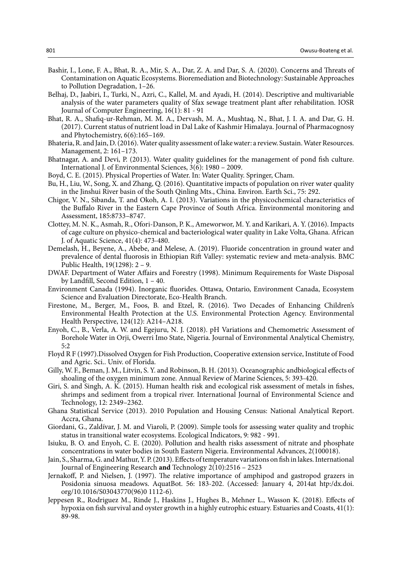- Bashir, I., Lone, F. A., Bhat, R. A., Mir, S. A., Dar, Z. A. and Dar, S. A. (2020). Concerns and Threats of Contamination on Aquatic Ecosystems. Bioremediation and Biotechnology: Sustainable Approaches to Pollution Degradation, 1–26.
- Belhaj, D., Jaabiri, I., Turki, N., Azri, C., Kallel, M. and Ayadi, H. (2014). Descriptive and multivariable analysis of the water parameters quality of Sfax sewage treatment plant after rehabilitation. IOSR Journal of Computer Engineering, 16(1): 81 - 91
- Bhat, R. A., Shafiq-ur-Rehman, M. M. A., Dervash, M. A., Mushtaq, N., Bhat, J. I. A. and Dar, G. H. (2017). Current status of nutrient load in Dal Lake of Kashmir Himalaya. Journal of Pharmacognosy and Phytochemistry, 6(6):165–169.
- Bhateria, R. and Jain, D. (2016). Water quality assessment of lake water: a review. Sustain. Water Resources. Management, 2: 161–173.
- Bhatnagar, A. and Devi, P. (2013). Water quality guidelines for the management of pond fish culture. International J. of Environmental Sciences, 3(6): 1980 – 2009.
- Boyd, C. E. (2015). Physical Properties of Water. In: Water Quality. Springer, Cham.
- Bu, H., Liu, W., Song, X. and Zhang, Q. (2016). Quantitative impacts of population on river water quality in the Jinshui River basin of the South Qinling Mts., China. Environ. Earth Sci., 75: 292.
- Chigor, V. N., Sibanda, T. and Okoh, A. I. (2013). Variations in the physicochemical characteristics of the Buffalo River in the Eastern Cape Province of South Africa. Environmental monitoring and Assessment, 185:8733–8747.
- Clottey, M. N. K., Asmah, R., Ofori-Danson, P. K., Ameworwor, M. Y. and Karikari, A. Y. (2016). Impacts of cage culture on physico-chemical and bacteriological water quality in Lake Volta, Ghana. African J. of Aquatic Science, 41(4): 473-480.
- Demelash, H., Beyene, A., Abebe, and Melese, A. (2019). Fluoride concentration in ground water and prevalence of dental fluorosis in Ethiopian Rift Valley: systematic review and meta-analysis. BMC Public Health, 19(1298): 2 – 9.
- DWAF. Department of Water Affairs and Forestry (1998). Minimum Requirements for Waste Disposal by Landfill, Second Edition, 1 – 40.
- Environment Canada (1994). Inorganic fluorides. Ottawa, Ontario, Environment Canada, Ecosystem Science and Evaluation Directorate, Eco-Health Branch.
- Firestone, M., Berger, M., Foos, B. and Etzel, R. (2016). Two Decades of Enhancing Children's Environmental Health Protection at the U.S. Environmental Protection Agency. Environmental Health Perspective, 124(12): A214–A218.
- Enyoh, C., B., Verla, A. W. and Egejuru, N. J. (2018). pH Variations and Chemometric Assessment of Borehole Water in Orji, Owerri Imo State, Nigeria. Journal of Environmental Analytical Chemistry,  $5.2$
- Floyd R F (1997).Dissolved Oxygen for Fish Production, Cooperative extension service, Institute of Food and Agric. Sci.. Univ. of Florida.
- Gilly, W. F., Beman, J. M., Litvin, S. Y. and Robinson, B. H. (2013). Oceanographic andbiological effects of shoaling of the oxygen minimum zone. Annual Review of Marine Sciences, 5: 393-420.
- Giri, S. and Singh, A. K. (2015). Human health risk and ecological risk assessment of metals in fishes, shrimps and sediment from a tropical river. International Journal of Environmental Science and Technology, 12: 2349–2362.
- Ghana Statistical Service (2013). 2010 Population and Housing Census: National Analytical Report. Accra, Ghana.
- Giordani, G., Zaldívar, J. M. and Viaroli, P. (2009). Simple tools for assessing water quality and trophic status in transitional water ecosystems. Ecological Indicators, 9: 982 - 991.
- Isiuku, B. O. and Enyoh, C. E. (2020). Pollution and health risks assessment of nitrate and phosphate concentrations in water bodies in South Eastern Nigeria. Environmental Advances, 2(100018).
- Jain, S., Sharma, G. and Mathur, Y. P. (2013). Effects of temperature variations on fish in lakes. International Journal of Engineering Research **and** Technology 2(10):2516 – 2523
- Jernakoff, P. and Nielsen, J. (1997). The relative importance of amphipod and gastropod grazers in Posidonia sinuosa meadows. AquatBot. 56: 183-202. (Accessed: January 4, 2014at htp:/dx.doi. org/10.1016/S03043770(96)0 1112-6).
- Jeppesen R., Rodriguez M., Rinde J., Haskins J., Hughes B., Mehner L., Wasson K. (2018). Effects of hypoxia on fish survival and oyster growth in a highly eutrophic estuary. Estuaries and Coasts, 41(1): 89-98.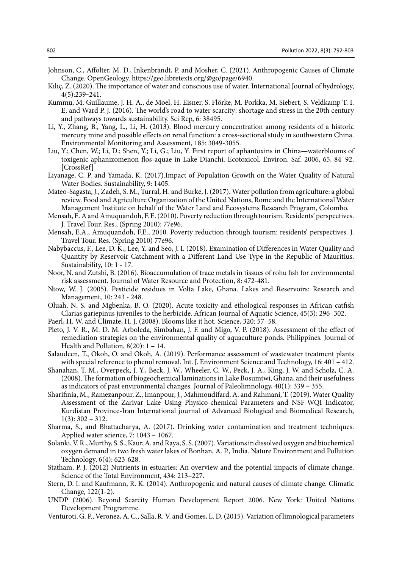- Johnson, C., Affolter, M. D., Inkenbrandt, P. and Mosher, C. (2021). Anthropogenic Causes of Climate Change. OpenGeology. https://geo.libretexts.org/@go/page/6940.
- Kılıç, Z. (2020). The importance of water and conscious use of water. International Journal of hydrology, 4(5):239‒241.
- Kummu, M. Guillaume, J. H. A., de Moel, H. Eisner, S. Flörke, M. Porkka, M. Siebert, S. Veldkamp T. I. E. and Ward P. J. (2016). The world's road to water scarcity: shortage and stress in the 20th century and pathways towards sustainability. Sci Rep, 6: 38495.
- Li, Y., Zhang, B., Yang, L., Li, H. (2013). Blood mercury concentration among residents of a historic mercury mine and possible effects on renal function: a cross-sectional study in southwestern China. Environmental Monitoring and Assessment, 185: 3049-3055.
- Liu, Y.; Chen, W.; Li, D.; Shen, Y.; Li, G.; Liu, Y. First report of aphantoxins in China—waterblooms of toxigenic aphanizomenon flos-aquae in Lake Dianchi. Ecotoxicol. Environ. Saf. 2006, 65, 84–92. [CrossRef]
- Liyanage, C. P. and Yamada, K. (2017).Impact of Population Growth on the Water Quality of Natural Water Bodies. Sustainability, 9: 1405.
- Mateo-Sagasta, J., Zadeh, S. M., Turral, H. and Burke, J. (2017). Water pollution from agriculture: a global review. Food and Agriculture Organization of the United Nations, Rome and the International Water Management Institute on behalf of the Water Land and Ecosystems Research Program, Colombo.
- Mensah, E. A and Amuquandoh, F. E. (2010). Poverty reduction through tourism. Residents' perspectives. J. Travel Tour. Res., (Spring 2010): 77e96.
- Mensah, E.A., Amuquandoh, F.E., 2010. Poverty reduction through tourism: residents' perspectives. J. Travel Tour. Res. (Spring 2010) 77e96.
- Nabybaccus, F., Lee, D. K., Lee, Y. and Seo, J. I. (2018). Examination of Differences in Water Quality and Quantity by Reservoir Catchment with a Different Land-Use Type in the Republic of Mauritius. Sustainability, 10: 1 - 17.
- Noor, N. and Zutshi, B. (2016). Bioaccumulation of trace metals in tissues of rohu fish for environmental risk assessment. Journal of Water Resource and Protection, 8: 472-481.
- Ntow, W. J. (2005). Pesticide residues in Volta Lake, Ghana. Lakes and Reservoirs: Research and Management, 10: 243 - 248.
- Oluah, N. S. and Mgbenka, B. O. (2020). Acute toxicity and ethological responses in African catfish Clarias gariepinus juveniles to the herbicide. African Journal of Aquatic Science, 45(3): 296–302.
- Paerl, H. W. and Climate, H. J. (2008). Blooms like it hot. Science, 320: 57–58.
- Pleto, J. V. R., M. D. M. Arboleda, Simbahan, J. F. and Migo, V. P. (2018). Assessment of the effect of remediation strategies on the environmental quality of aquaculture ponds. Philippines. Journal of Health and Pollution,  $8(20)$ : 1 – 14.
- Salaudeen, T., Okoh, O. and Okoh, A. (2019). Performance assessment of wastewater treatment plants with special reference to phenol removal. Int. J. Environment Science and Technology, 16: 401 – 412.
- Shanahan, T. M., Overpeck, J. Y., Beck, J. W., Wheeler, C. W., Peck, J. A., King, J. W. and Scholz, C. A. (2008). The formation of biogeochemical laminations in Lake Bosumtwi, Ghana, and their usefulness as indicators of past environmental changes. Journal of Paleolimnology, 40(1): 339 – 355.
- Sharifinia, M., Ramezanpour, Z., Imanpour, J., Mahmoudifard, A. and Rahmani, T. (2019). Water Quality Assessment of the Zarivar Lake Using Physico-chemical Parameters and NSF-WQI Indicator, Kurdistan Province-Iran International journal of Advanced Biological and Biomedical Research,  $1(3): 302 - 312.$
- Sharma, S., and Bhattacharya, A. (2017). Drinking water contamination and treatment techniques. Applied water science, 7: 1043 – 1067.
- Solanki, V. R., Murthy, S. S., Kaur, A. and Raya, S. S. (2007). Variations in dissolved oxygen and biochemical oxygen demand in two fresh water lakes of Bonhan, A. P., India. Nature Environment and Pollution Technology, 6(4): 623-628.
- Statham, P. J. (2012) Nutrients in estuaries: An overview and the potential impacts of climate change. Science of the Total Environment, 434: 213–227.
- Stern, D. I. and Kaufmann, R. K. (2014). Anthropogenic and natural causes of climate change. Climatic Change, 122(1-2).
- UNDP (2006). Beyond Scarcity Human Development Report 2006. New York: United Nations Development Programme.
- Venturoti, G. P., Veronez, A. C., Salla, R. V. and Gomes, L. D. (2015). Variation of limnological parameters